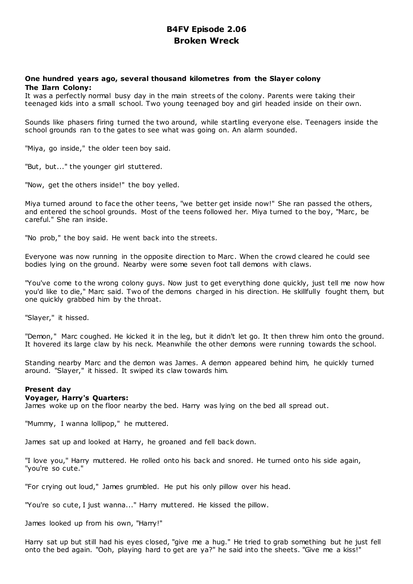# **B4FV Episode 2.06 Broken Wreck**

# **One hundred years ago, several thousand kilometres from the Slayer colony The Ilarn Colony:**

It was a perfectly normal busy day in the main streets of the colony. Parents were taking their teenaged kids into a small school. Two young teenaged boy and girl headed inside on their own.

Sounds like phasers firing turned the two around, while startling everyone else. Teenagers inside the school grounds ran to the gates to see what was going on. An alarm sounded.

"Miya, go inside," the older teen boy said.

"But, but..." the younger girl stuttered.

"Now, get the others inside!" the boy yelled.

Miya turned around to face the other teens, "we better get inside now!" She ran passed the others, and entered the school grounds. Most of the teens followed her. Miya turned to the boy, "Marc , be careful." She ran inside.

"No prob," the boy said. He went back into the streets.

Everyone was now running in the opposite direction to Marc . When the crowd cleared he could see bodies lying on the ground. Nearby were some seven foot tall demons with claws.

"You've come to the wrong colony guys. Now just to get everything done quickly, just tell me now how you'd like to die," Marc said. Two of the demons charged in his direction. He skillfully fought them, but one quickly grabbed him by the throat.

"Slayer," it hissed.

"Demon," Marc coughed. He kicked it in the leg, but it didn't let go. It then threw him onto the ground. It hovered its large claw by his neck. Meanwhile the other demons were running towards the school.

Standing nearby Marc and the demon was James. A demon appeared behind him, he quickly turned around. "Slayer," it hissed. It swiped its claw towards him.

# **Present day**

### **Voyager, Harry's Quarters:**

James woke up on the floor nearby the bed. Harry was lying on the bed all spread out.

"Mummy, I wanna lollipop," he muttered.

James sat up and looked at Harry, he groaned and fell back down.

"I love you," Harry muttered. He rolled onto his back and snored. He turned onto his side again, "you're so cute."

"For crying out loud," James grumbled. He put his only pillow over his head.

"You're so cute, I just wanna..." Harry muttered. He kissed the pillow.

James looked up from his own, "Harry!"

Harry sat up but still had his eyes closed, "give me a hug." He tried to grab something but he just fell onto the bed again. "Ooh, playing hard to get are ya?" he said into the sheets. "Give me a kiss!"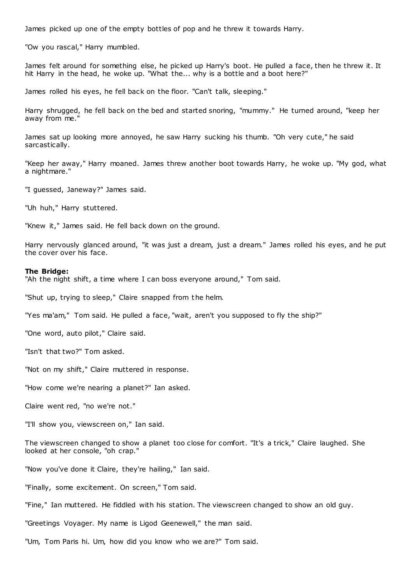James picked up one of the empty bottles of pop and he threw it towards Harry.

"Ow you rascal," Harry mumbled.

James felt around for something else, he picked up Harry's boot. He pulled a face, then he threw it. It hit Harry in the head, he woke up. "What the... why is a bottle and a boot here?"

James rolled his eyes, he fell back on the floor. "Can't talk, sleeping."

Harry shrugged, he fell back on the bed and started snoring, "mummy." He turned around, "keep her away from me."

James sat up looking more annoyed, he saw Harry sucking his thumb. "Oh very cute," he said sarcastically.

"Keep her away," Harry moaned. James threw another boot towards Harry, he woke up. "My god, what a nightmare."

"I guessed, Janeway?" James said.

"Uh huh," Harry stuttered.

"Knew it," James said. He fell back down on the ground.

Harry nervously glanced around, "it was just a dream, just a dream." James rolled his eyes, and he put the cover over his face.

### **The Bridge:**

"Ah the night shift, a time where I can boss everyone around," Tom said.

"Shut up, trying to sleep," Claire snapped from the helm.

"Yes ma'am," Tom said. He pulled a face, "wait, aren't you supposed to fly the ship?"

"One word, auto pilot," Claire said.

"Isn't that two?" Tom asked.

"Not on my shift," Claire muttered in response.

"How come we're nearing a planet?" Ian asked.

Claire went red, "no we're not."

"I'll show you, viewscreen on," Ian said.

The viewscreen changed to show a planet too close for comfort. "It's a trick," Claire laughed. She looked at her console, "oh crap."

"Now you've done it Claire, they're hailing," Ian said.

"Finally, some excitement. On screen," Tom said.

"Fine," Ian muttered. He fiddled with his station. The viewscreen changed to show an old guy.

"Greetings Voyager. My name is Ligod Geenewell," the man said.

"Um, Tom Paris hi. Um, how did you know who we are?" Tom said.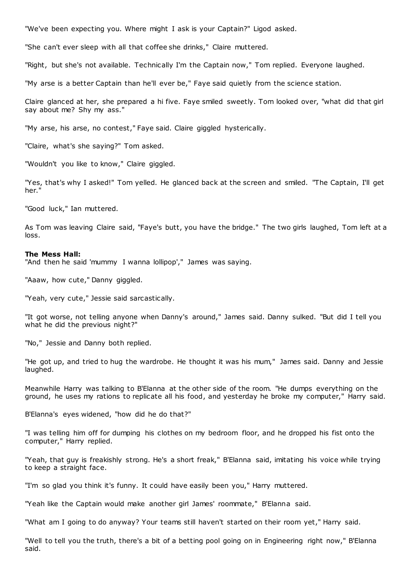"We've been expecting you. Where might I ask is your Captain?" Ligod asked.

"She can't ever sleep with all that coffee she drinks," Claire muttered.

"Right, but she's not available. Technically I'm the Captain now," Tom replied. Everyone laughed.

"My arse is a better Captain than he'll ever be," Faye said quietly from the science station.

Claire glanced at her, she prepared a hi five. Faye smiled sweetly. Tom looked over, "what did that girl say about me? Shy my ass."

"My arse, his arse, no contest," Faye said. Claire giggled hysterically.

"Claire, what's she saying?" Tom asked.

"Wouldn't you like to know," Claire giggled.

"Yes, that's why I asked!" Tom yelled. He glanced back at the screen and smiled. "The Captain, I'll get her."

"Good luck," Ian muttered.

As Tom was leaving Claire said, "Faye's butt, you have the bridge." The two girls laughed, Tom left at a loss.

### **The Mess Hall:**

"And then he said 'mummy I wanna lollipop'," James was saying.

"Aaaw, how cute," Danny giggled.

"Yeah, very cute," Jessie said sarcastically.

"It got worse, not telling anyone when Danny's around," James said. Danny sulked. "But did I tell you what he did the previous night?"

"No," Jessie and Danny both replied.

"He got up, and tried to hug the wardrobe. He thought it was his mum," James said. Danny and Jessie laughed.

Meanwhile Harry was talking to B'Elanna at the other side of the room. "He dumps everything on the ground, he uses my rations to replicate all his food, and yesterday he broke my computer," Harry said.

B'Elanna's eyes widened, "how did he do that?"

"I was telling him off for dumping his clothes on my bedroom floor, and he dropped his fist onto the computer," Harry replied.

"Yeah, that guy is freakishly strong. He's a short freak," B'Elanna said, imitating his voice while trying to keep a straight face.

"I'm so glad you think it's funny. It could have easily been you," Harry muttered.

"Yeah like the Captain would make another girl James' roommate," B'Elanna said.

"What am I going to do anyway? Your teams still haven't started on their room yet," Harry said.

"Well to tell you the truth, there's a bit of a betting pool going on in Engineering right now," B'Elanna said.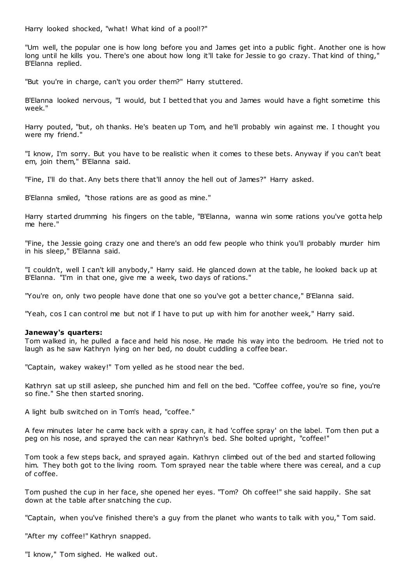Harry looked shocked, "what! What kind of a pool!?"

"Um well, the popular one is how long before you and James get into a public fight. Another one is how long until he kills you. There's one about how long it'll take for Jessie to go crazy. That kind of thing," B'Elanna replied.

"But you're in charge, can't you order them?" Harry stuttered.

B'Elanna looked nervous, "I would, but I betted that you and James would have a fight sometime this week."

Harry pouted, "but, oh thanks. He's beaten up Tom, and he'll probably win against me. I thought you were my friend."

"I know, I'm sorry. But you have to be realistic when it comes to these bets. Anyway if you can't beat em, join them," B'Elanna said.

"Fine, I'll do that. Any bets there that'll annoy the hell out of James?" Harry asked.

B'Elanna smiled, "those rations are as good as mine."

Harry started drumming his fingers on the table, "B'Elanna, wanna win some rations you've gotta help me here."

"Fine, the Jessie going crazy one and there's an odd few people who think you'll probably murder him in his sleep," B'Elanna said.

"I couldn't, well I can't kill anybody," Harry said. He glanced down at the table, he looked back up at B'Elanna. "I'm in that one, give me a week, two days of rations."

"You're on, only two people have done that one so you've got a better chance," B'Elanna said.

"Yeah, cos I can control me but not if I have to put up with him for another week," Harry said.

# **Janeway's quarters:**

Tom walked in, he pulled a face and held his nose. He made his way into the bedroom. He tried not to laugh as he saw Kathryn lying on her bed, no doubt cuddling a coffee bear.

"Captain, wakey wakey!" Tom yelled as he stood near the bed.

Kathryn sat up still asleep, she punched him and fell on the bed. "Coffee coffee, you're so fine, you're so fine." She then started snoring.

A light bulb switched on in Tom's head, "coffee."

A few minutes later he came back with a spray can, it had 'coffee spray' on the label. Tom then put a peg on his nose, and sprayed the can near Kathryn's bed. She bolted upright, "coffee!"

Tom took a few steps back, and sprayed again. Kathryn climbed out of the bed and started following him. They both got to the living room. Tom sprayed near the table where there was cereal, and a cup of coffee.

Tom pushed the cup in her face, she opened her eyes. "Tom? Oh coffee!" she said happily. She sat down at the table after snatching the cup.

"Captain, when you've finished there's a guy from the planet who wants to talk with you," Tom said.

"After my coffee!" Kathryn snapped.

"I know," Tom sighed. He walked out.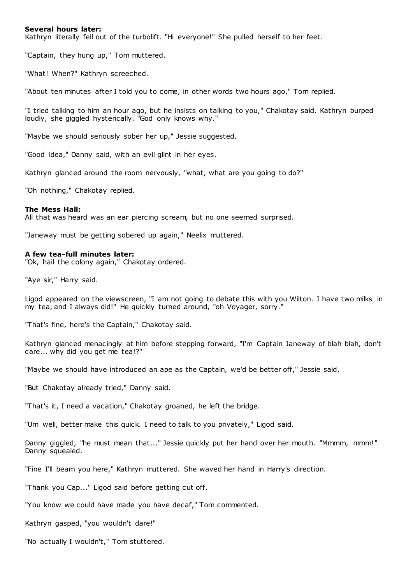# **Several hours later:**

Kathryn literally fell out of the turbolift. "Hi everyone!" She pulled herself to her feet.

"Captain, they hung up," Tom muttered.

"What! When?" Kathryn screeched.

"About ten minutes after I told you to come, in other words two hours ago," Tom replied.

"I tried talking to him an hour ago, but he insists on talking to you," Chakotay said. Kathryn burped loudly, she giggled hysterically. "God only knows why."

"Maybe we should seriously sober her up," Jessie suggested.

"Good idea," Danny said, with an evil glint in her eyes.

Kathryn glanced around the room nervously, "what, what are you going to do?"

"Oh nothing," Chakotay replied.

## **The Mess Hall:**

All that was heard was an ear piercing scream, but no one seemed surprised.

"Janeway must be getting sobered up again," Neelix muttered.

### **A few tea-full minutes later:**

"Ok, hail the colony again," Chakotay ordered.

"Aye sir," Harry said.

Ligod appeared on the viewscreen, "I am not going to debate this with you Wilton. I have two milks in my tea, and I always did!" He quickly turned around, "oh Voyager, sorry."

"That's fine, here's the Captain," Chakotay said.

Kathryn glanced menacingly at him before stepping forward, "I'm Captain Janeway of blah blah, don't care... why did you get me tea!?"

"Maybe we should have introduced an ape as the Captain, we'd be better off," Jessie said.

"But Chakotay already tried," Danny said.

"That's it, I need a vacation," Chakotay groaned, he left the bridge.

"Um well, better make this quick. I need to talk to you privately," Ligod said.

Danny giggled, "he must mean that..." Jessie quickly put her hand over her mouth. "Mmmm, mmm!" Danny squealed.

"Fine I'll beam you here," Kathryn muttered. She waved her hand in Harry's direction.

"Thank you Cap..." Ligod said before getting cut off.

"You know we could have made you have decaf," Tom commented.

Kathryn gasped, "you wouldn't dare!"

"No actually I wouldn't," Tom stuttered.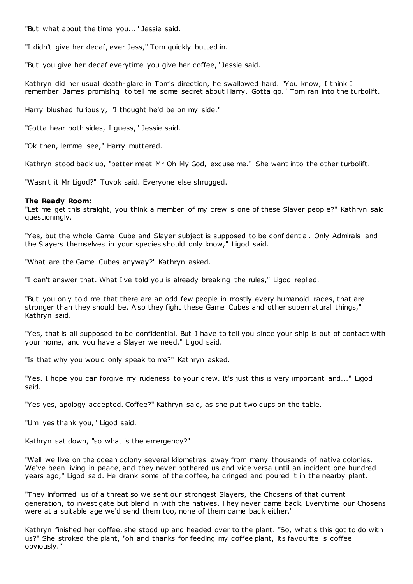"But what about the time you..." Jessie said.

"I didn't give her decaf, ever Jess," Tom quickly butted in.

"But you give her decaf everytime you give her coffee," Jessie said.

Kathryn did her usual death-glare in Tom's direction, he swallowed hard. "You know, I think I remember James promising to tell me some secret about Harry. Gotta go." Tom ran into the turbolift.

Harry blushed furiously, "I thought he'd be on my side."

"Gotta hear both sides, I guess," Jessie said.

"Ok then, lemme see," Harry muttered.

Kathryn stood back up, "better meet Mr Oh My God, excuse me." She went into the other turbolift.

"Wasn't it Mr Ligod?" Tuvok said. Everyone else shrugged.

### **The Ready Room:**

"Let me get this straight, you think a member of my crew is one of these Slayer people?" Kathryn said questioningly.

"Yes, but the whole Game Cube and Slayer subject is supposed to be confidential. Only Admirals and the Slayers themselves in your species should only know," Ligod said.

"What are the Game Cubes anyway?" Kathryn asked.

"I can't answer that. What I've told you is already breaking the rules," Ligod replied.

"But you only told me that there are an odd few people in mostly every humanoid races, that are stronger than they should be. Also they fight these Game Cubes and other supernatural things," Kathryn said.

"Yes, that is all supposed to be confidential. But I have to tell you since your ship is out of contact with your home, and you have a Slayer we need," Ligod said.

"Is that why you would only speak to me?" Kathryn asked.

"Yes. I hope you can forgive my rudeness to your crew. It's just this is very important and..." Ligod said.

"Yes yes, apology accepted. Coffee?" Kathryn said, as she put two cups on the table.

"Um yes thank you," Ligod said.

Kathryn sat down, "so what is the emergency?"

"Well we live on the ocean colony several kilometres away from many thousands of native colonies. We've been living in peace, and they never bothered us and vice versa until an incident one hundred years ago," Ligod said. He drank some of the coffee, he cringed and poured it in the nearby plant.

"They informed us of a threat so we sent our strongest Slayers, the Chosens of that current generation, to investigate but blend in with the natives. They never came back. Everytime our Chosens were at a suitable age we'd send them too, none of them came back either."

Kathryn finished her coffee, she stood up and headed over to the plant. "So, what's this got to do with us?" She stroked the plant, "oh and thanks for feeding my coffee plant, its favourite is coffee obviously."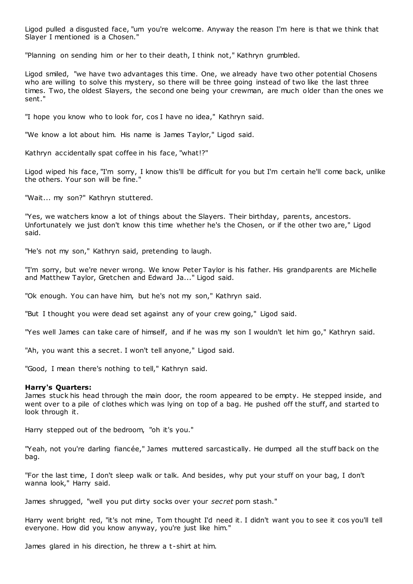Ligod pulled a disgusted face, "um you're welcome. Anyway the reason I'm here is that we think that Slayer I mentioned is a Chosen."

"Planning on sending him or her to their death, I think not," Kathryn grumbled.

Ligod smiled, "we have two advantages this time. One, we already have two other potential Chosens who are willing to solve this mystery, so there will be three going instead of two like the last three times. Two, the oldest Slayers, the second one being your crewman, are much older than the ones we sent."

"I hope you know who to look for, cos I have no idea," Kathryn said.

"We know a lot about him. His name is James Taylor," Ligod said.

Kathryn accidentally spat coffee in his face, "what!?"

Ligod wiped his face, "I'm sorry, I know this'll be difficult for you but I'm certain he'll come back, unlike the others. Your son will be fine."

"Wait... my son?" Kathryn stuttered.

"Yes, we watchers know a lot of things about the Slayers. Their birthday, parents, ancestors. Unfortunately we just don't know this time whether he's the Chosen, or if the other two are," Ligod said.

"He's not my son," Kathryn said, pretending to laugh.

"I'm sorry, but we're never wrong. We know Peter Taylor is his father. His grandparents are Michelle and Matthew Taylor, Gretchen and Edward Ja..." Ligod said.

"Ok enough. You can have him, but he's not my son," Kathryn said.

"But I thought you were dead set against any of your crew going," Ligod said.

"Yes well James can take care of himself, and if he was my son I wouldn't let him go," Kathryn said.

"Ah, you want this a secret. I won't tell anyone," Ligod said.

"Good, I mean there's nothing to tell," Kathryn said.

# **Harry's Quarters:**

James stuck his head through the main door, the room appeared to be empty. He stepped inside, and went over to a pile of clothes which was lying on top of a bag. He pushed off the stuff, and started to look through it.

Harry stepped out of the bedroom, "oh it's you."

"Yeah, not you're darling fiancée," James muttered sarcastically. He dumped all the stuff back on the bag.

"For the last time, I don't sleep walk or talk. And besides, why put your stuff on your bag, I don't wanna look," Harry said.

James shrugged, "well you put dirty socks over your *secret* porn stash."

Harry went bright red, "it's not mine, Tom thought I'd need it. I didn't want you to see it cos you'll tell everyone. How did you know anyway, you're just like him."

James glared in his direction, he threw a t-shirt at him.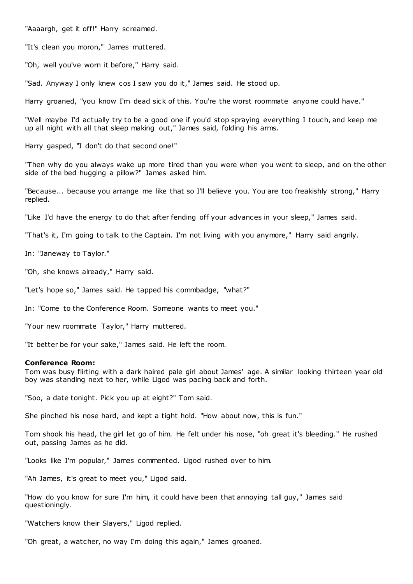"Aaaargh, get it off!" Harry screamed.

"It's clean you moron," James muttered.

"Oh, well you've worn it before," Harry said.

"Sad. Anyway I only knew cos I saw you do it," James said. He stood up.

Harry groaned, "you know I'm dead sick of this. You're the worst roommate anyone could have."

"Well maybe I'd actually try to be a good one if you'd stop spraying everything I touch, and keep me up all night with all that sleep making out," James said, folding his arms.

Harry gasped, "I don't do that second one!"

"Then why do you always wake up more tired than you were when you went to sleep, and on the other side of the bed hugging a pillow?" James asked him.

"Because... because you arrange me like that so I'll believe you. You are too freakishly strong," Harry replied.

"Like I'd have the energy to do that after fending off your advances in your sleep," James said.

"That's it, I'm going to talk to the Captain. I'm not living with you anymore," Harry said angrily.

In: "Janeway to Taylor."

"Oh, she knows already," Harry said.

"Let's hope so," James said. He tapped his commbadge, "what?"

In: "Come to the Conference Room. Someone wants to meet you."

"Your new roommate Taylor," Harry muttered.

"It better be for your sake," James said. He left the room.

## **Conference Room:**

Tom was busy flirting with a dark haired pale girl about James' age. A similar looking thirteen year old boy was standing next to her, while Ligod was pacing back and forth.

"Soo, a date tonight. Pick you up at eight?" Tom said.

She pinched his nose hard, and kept a tight hold. "How about now, this is fun."

Tom shook his head, the girl let go of him. He felt under his nose, "oh great it's bleeding." He rushed out, passing James as he did.

"Looks like I'm popular," James commented. Ligod rushed over to him.

"Ah James, it's great to meet you," Ligod said.

"How do you know for sure I'm him, it could have been that annoying tall guy," James said questioningly.

"Watchers know their Slayers," Ligod replied.

"Oh great, a watcher, no way I'm doing this again," James groaned.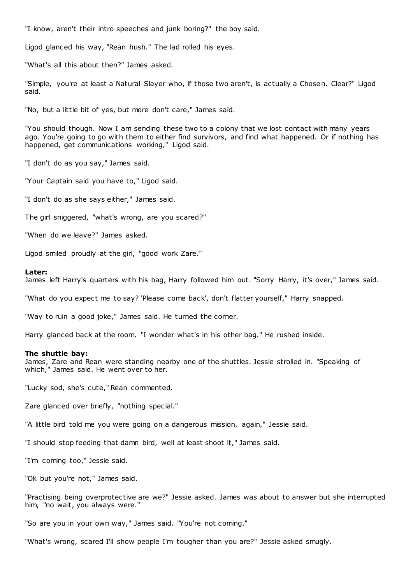"I know, aren't their intro speeches and junk boring?" the boy said.

Ligod glanced his way, "Rean hush." The lad rolled his eyes.

"What's all this about then?" James asked.

"Simple, you're at least a Natural Slayer who, if those two aren't, is actually a Chosen. Clear?" Ligod said.

"No, but a little bit of yes, but more don't care," James said.

"You should though. Now I am sending these two to a colony that we lost contact with many years ago. You're going to go with them to either find survivors, and find what happened. Or if nothing has happened, get communications working," Ligod said.

"I don't do as you say," James said.

"Your Captain said you have to," Ligod said.

"I don't do as she says either," James said.

The girl sniggered, "what's wrong, are you scared?"

"When do we leave?" James asked.

Ligod smiled proudly at the girl, "good work Zare."

#### **Later:**

James left Harry's quarters with his bag, Harry followed him out. "Sorry Harry, it's over," James said.

"What do you expect me to say? 'Please come back', don't flatter yourself," Harry snapped.

"Way to ruin a good joke," James said. He turned the corner.

Harry glanced back at the room, "I wonder what's in his other bag." He rushed inside.

#### **The shuttle bay:**

James, Zare and Rean were standing nearby one of the shuttles. Jessie strolled in. "Speaking of which," James said. He went over to her.

"Lucky sod, she's cute," Rean commented.

Zare glanced over briefly, "nothing special."

"A little bird told me you were going on a dangerous mission, again," Jessie said.

"I should stop feeding that damn bird, well at least shoot it," James said.

"I'm coming too," Jessie said.

"Ok but you're not," James said.

"Practising being overprotective are we?" Jessie asked. James was about to answer but she interrupted him, "no wait, you always were."

"So are you in your own way," James said. "You're not coming."

"What's wrong, scared I'll show people I'm tougher than you are?" Jessie asked smugly.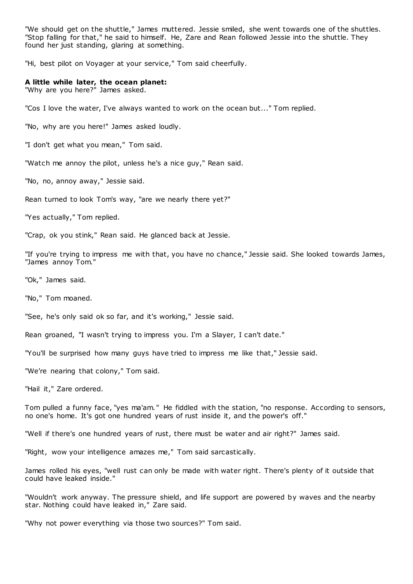"We should get on the shuttle," James muttered. Jessie smiled, she went towards one of the shuttles. "Stop falling for that," he said to himself. He, Zare and Rean followed Jessie into the shuttle. They found her just standing, glaring at something.

"Hi, best pilot on Voyager at your service," Tom said cheerfully.

# **A little while later, the ocean planet:**

"Why are you here?" James asked.

"Cos I love the water, I've always wanted to work on the ocean but..." Tom replied.

"No, why are you here!" James asked loudly.

"I don't get what you mean," Tom said.

"Watch me annoy the pilot, unless he's a nice guy," Rean said.

"No, no, annoy away," Jessie said.

Rean turned to look Tom's way, "are we nearly there yet?"

"Yes actually," Tom replied.

"Crap, ok you stink," Rean said. He glanced back at Jessie.

"If you're trying to impress me with that, you have no chance," Jessie said. She looked towards James, "James annoy Tom."

"Ok," James said.

"No," Tom moaned.

"See, he's only said ok so far, and it's working," Jessie said.

Rean groaned, "I wasn't trying to impress you. I'm a Slayer, I can't date."

"You'll be surprised how many guys have tried to impress me like that," Jessie said.

"We're nearing that colony," Tom said.

"Hail it," Zare ordered.

Tom pulled a funny face, "yes ma'am. " He fiddled with the station, "no response. According to sensors, no one's home. It's got one hundred years of rust inside it, and the power's off."

"Well if there's one hundred years of rust, there must be water and air right?" James said.

"Right, wow your intelligence amazes me," Tom said sarcastically.

James rolled his eyes, "well rust can only be made with water right. There's plenty of it outside that could have leaked inside."

"Wouldn't work anyway. The pressure shield, and life support are powered by waves and the nearby star. Nothing could have leaked in," Zare said.

"Why not power everything via those two sources?" Tom said.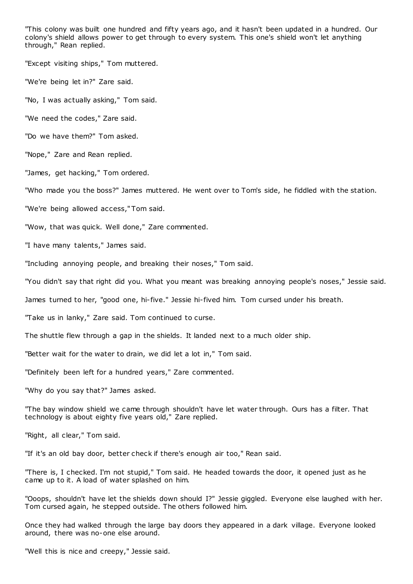"This colony was built one hundred and fifty years ago, and it hasn't been updated in a hundred. Our colony's shield allows power to get through to every system. This one's shield won't let anything through," Rean replied.

"Except visiting ships," Tom muttered.

"We're being let in?" Zare said.

"No, I was actually asking," Tom said.

"We need the codes," Zare said.

"Do we have them?" Tom asked.

"Nope," Zare and Rean replied.

"James, get hacking," Tom ordered.

"Who made you the boss?" James muttered. He went over to Tom's side, he fiddled with the station.

"We're being allowed access," Tom said.

"Wow, that was quick. Well done," Zare commented.

"I have many talents," James said.

"Including annoying people, and breaking their noses," Tom said.

"You didn't say that right did you. What you meant was breaking annoying people's noses," Jessie said.

James turned to her, "good one, hi-five." Jessie hi-fived him. Tom cursed under his breath.

"Take us in lanky," Zare said. Tom continued to curse.

The shuttle flew through a gap in the shields. It landed next to a much older ship.

"Better wait for the water to drain, we did let a lot in," Tom said.

"Definitely been left for a hundred years," Zare commented.

"Why do you say that?" James asked.

"The bay window shield we came through shouldn't have let water through. Ours has a filter. That technology is about eighty five years old," Zare replied.

"Right, all clear," Tom said.

"If it's an old bay door, better check if there's enough air too," Rean said.

"There is, I checked. I'm not stupid," Tom said. He headed towards the door, it opened just as he came up to it. A load of water splashed on him.

"Ooops, shouldn't have let the shields down should I?" Jessie giggled. Everyone else laughed with her. Tom cursed again, he stepped outside. The others followed him.

Once they had walked through the large bay doors they appeared in a dark village. Everyone looked around, there was no-one else around.

"Well this is nice and creepy," Jessie said.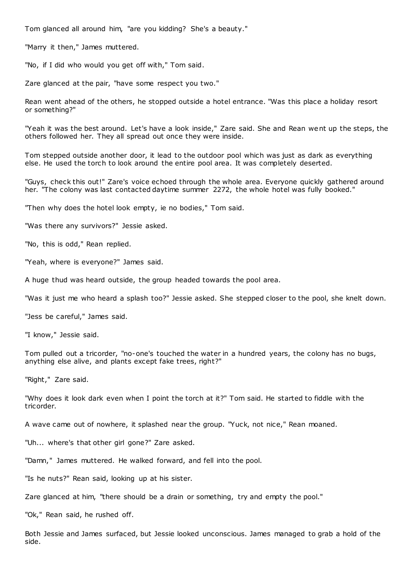Tom glanced all around him, "are you kidding? She's a beauty."

"Marry it then," James muttered.

"No, if I did who would you get off with," Tom said.

Zare glanced at the pair, "have some respect you two."

Rean went ahead of the others, he stopped outside a hotel entrance. "Was this place a holiday resort or something?"

"Yeah it was the best around. Let's have a look inside," Zare said. She and Rean went up the steps, the others followed her. They all spread out once they were inside.

Tom stepped outside another door, it lead to the outdoor pool which was just as dark as everything else. He used the torch to look around the entire pool area. It was completely deserted.

"Guys, check this out!" Zare's voice echoed through the whole area. Everyone quickly gathered around her. "The colony was last contacted daytime summer 2272, the whole hotel was fully booked."

"Then why does the hotel look empty, ie no bodies," Tom said.

"Was there any survivors?" Jessie asked.

"No, this is odd," Rean replied.

"Yeah, where is everyone?" James said.

A huge thud was heard outside, the group headed towards the pool area.

"Was it just me who heard a splash too?" Jessie asked. She stepped closer to the pool, she knelt down.

"Jess be careful," James said.

"I know," Jessie said.

Tom pulled out a tricorder, "no-one's touched the water in a hundred years, the colony has no bugs, anything else alive, and plants except fake trees, right?"

"Right," Zare said.

"Why does it look dark even when I point the torch at it?" Tom said. He started to fiddle with the tricorder.

A wave came out of nowhere, it splashed near the group. "Yuck, not nice," Rean moaned.

"Uh... where's that other girl gone?" Zare asked.

"Damn," James muttered. He walked forward, and fell into the pool.

"Is he nuts?" Rean said, looking up at his sister.

Zare glanced at him, "there should be a drain or something, try and empty the pool."

"Ok," Rean said, he rushed off.

Both Jessie and James surfaced, but Jessie looked unconscious. James managed to grab a hold of the side.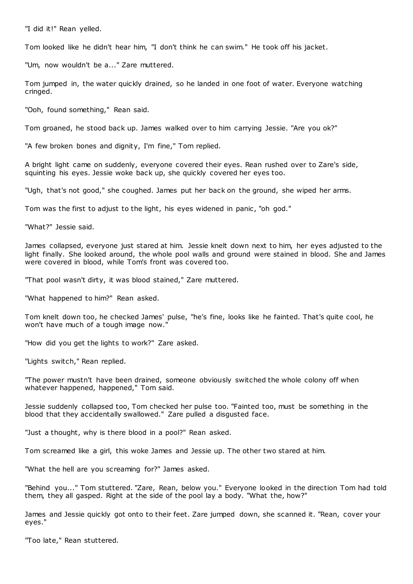"I did it!" Rean yelled.

Tom looked like he didn't hear him, "I don't think he can swim." He took off his jacket.

"Um, now wouldn't be a..." Zare muttered.

Tom jumped in, the water quickly drained, so he landed in one foot of water. Everyone watching cringed.

"Ooh, found something," Rean said.

Tom groaned, he stood back up. James walked over to him carrying Jessie. "Are you ok?"

"A few broken bones and dignity, I'm fine," Tom replied.

A bright light came on suddenly, everyone covered their eyes. Rean rushed over to Zare's side, squinting his eyes. Jessie woke back up, she quickly covered her eyes too.

"Ugh, that's not good," she coughed. James put her back on the ground, she wiped her arms.

Tom was the first to adjust to the light, his eyes widened in panic , "oh god."

"What?" Jessie said.

James collapsed, everyone just stared at him. Jessie knelt down next to him, her eyes adjusted to the light finally. She looked around, the whole pool walls and ground were stained in blood. She and James were covered in blood, while Tom's front was covered too.

"That pool wasn't dirty, it was blood stained," Zare muttered.

"What happened to him?" Rean asked.

Tom knelt down too, he checked James' pulse, "he's fine, looks like he fainted. That's quite cool, he won't have much of a tough image now."

"How did you get the lights to work?" Zare asked.

"Lights switch," Rean replied.

"The power mustn't have been drained, someone obviously switched the whole colony off when whatever happened, happened," Tom said.

Jessie suddenly collapsed too, Tom checked her pulse too. "Fainted too, must be something in the blood that they accidentally swallowed." Zare pulled a disgusted face.

"Just a thought, why is there blood in a pool?" Rean asked.

Tom screamed like a girl, this woke James and Jessie up. The other two stared at him.

"What the hell are you screaming for?" James asked.

"Behind you..." Tom stuttered. "Zare, Rean, below you." Everyone looked in the direction Tom had told them, they all gasped. Right at the side of the pool lay a body. "What the, how?"

James and Jessie quickly got onto to their feet. Zare jumped down, she scanned it. "Rean, cover your eyes."

"Too late," Rean stuttered.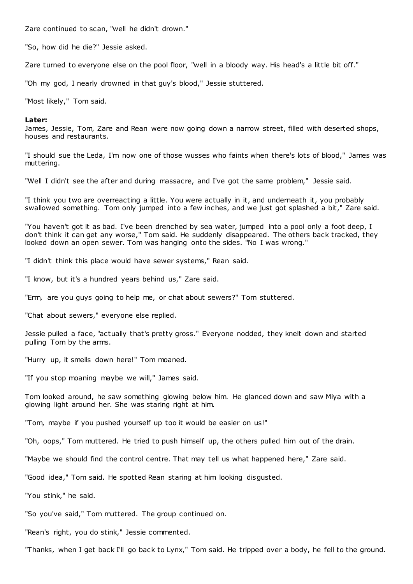Zare continued to scan, "well he didn't drown."

"So, how did he die?" Jessie asked.

Zare turned to everyone else on the pool floor, "well in a bloody way. His head's a little bit off."

"Oh my god, I nearly drowned in that guy's blood," Jessie stuttered.

"Most likely," Tom said.

### **Later:**

James, Jessie, Tom, Zare and Rean were now going down a narrow street, filled with deserted shops, houses and restaurants.

"I should sue the Leda, I'm now one of those wusses who faints when there's lots of blood," James was muttering.

"Well I didn't see the after and during massacre, and I've got the same problem," Jessie said.

"I think you two are overreacting a little. You were actually in it, and underneath it, you probably swallowed something. Tom only jumped into a few inches, and we just got splashed a bit," Zare said.

"You haven't got it as bad. I've been drenched by sea water, jumped into a pool only a foot deep, I don't think it can get any worse," Tom said. He suddenly disappeared. The others back tracked, they looked down an open sewer. Tom was hanging onto the sides. "No I was wrong."

"I didn't think this place would have sewer systems," Rean said.

"I know, but it's a hundred years behind us," Zare said.

"Erm, are you guys going to help me, or chat about sewers?" Tom stuttered.

"Chat about sewers," everyone else replied.

Jessie pulled a face, "actually that's pretty gross." Everyone nodded, they knelt down and started pulling Tom by the arms.

"Hurry up, it smells down here!" Tom moaned.

"If you stop moaning maybe we will," James said.

Tom looked around, he saw something glowing below him. He glanced down and saw Miya with a glowing light around her. She was staring right at him.

"Tom, maybe if you pushed yourself up too it would be easier on us!"

"Oh, oops," Tom muttered. He tried to push himself up, the others pulled him out of the drain.

"Maybe we should find the control centre. That may tell us what happened here," Zare said.

"Good idea," Tom said. He spotted Rean staring at him looking disgusted.

"You stink," he said.

"So you've said," Tom muttered. The group continued on.

"Rean's right, you do stink," Jessie commented.

"Thanks, when I get back I'll go back to Lynx," Tom said. He tripped over a body, he fell to the ground.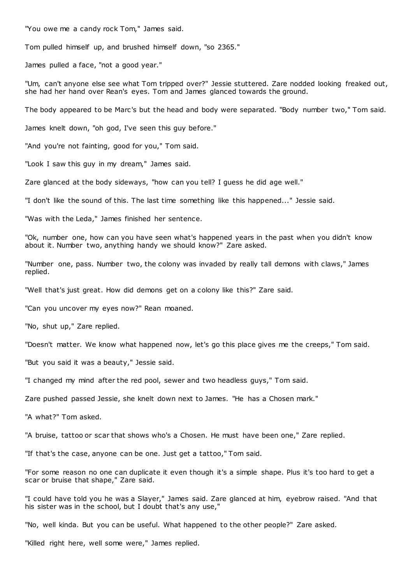"You owe me a candy rock Tom," James said.

Tom pulled himself up, and brushed himself down, "so 2365."

James pulled a face, "not a good year."

"Um, can't anyone else see what Tom tripped over?" Jessie stuttered. Zare nodded looking freaked out, she had her hand over Rean's eyes. Tom and James glanced towards the ground.

The body appeared to be Marc's but the head and body were separated. "Body number two," Tom said.

James knelt down, "oh god, I've seen this guy before."

"And you're not fainting, good for you," Tom said.

"Look I saw this guy in my dream," James said.

Zare glanced at the body sideways, "how can you tell? I guess he did age well."

"I don't like the sound of this. The last time something like this happened..." Jessie said.

"Was with the Leda," James finished her sentence.

"Ok, number one, how can you have seen what's happened years in the past when you didn't know about it. Number two, anything handy we should know?" Zare asked.

"Number one, pass. Number two, the colony was invaded by really tall demons with claws," James replied.

"Well that's just great. How did demons get on a colony like this?" Zare said.

"Can you uncover my eyes now?" Rean moaned.

"No, shut up," Zare replied.

"Doesn't matter. We know what happened now, let's go this place gives me the creeps," Tom said.

"But you said it was a beauty," Jessie said.

"I changed my mind after the red pool, sewer and two headless guys," Tom said.

Zare pushed passed Jessie, she knelt down next to James. "He has a Chosen mark."

"A what?" Tom asked.

"A bruise, tattoo or scar that shows who's a Chosen. He must have been one," Zare replied.

"If that's the case, anyone can be one. Just get a tattoo," Tom said.

"For some reason no one can duplicate it even though it's a simple shape. Plus it's too hard to get a scar or bruise that shape," Zare said.

"I could have told you he was a Slayer," James said. Zare glanced at him, eyebrow raised. "And that his sister was in the school, but I doubt that's any use,"

"No, well kinda. But you can be useful. What happened to the other people?" Zare asked.

"Killed right here, well some were," James replied.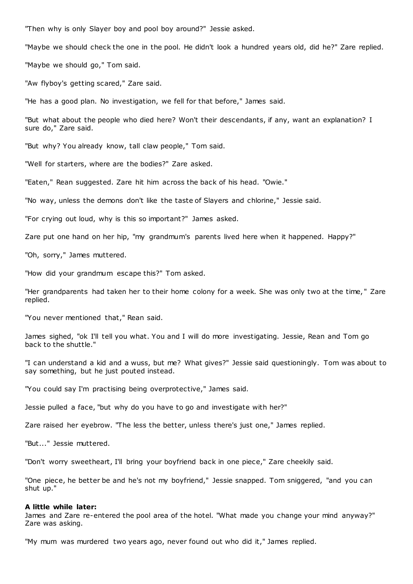"Then why is only Slayer boy and pool boy around?" Jessie asked.

"Maybe we should check the one in the pool. He didn't look a hundred years old, did he?" Zare replied.

"Maybe we should go," Tom said.

"Aw flyboy's getting scared," Zare said.

"He has a good plan. No investigation, we fell for that before," James said.

"But what about the people who died here? Won't their descendants, if any, want an explanation? I sure do," Zare said.

"But why? You already know, tall claw people," Tom said.

"Well for starters, where are the bodies?" Zare asked.

"Eaten," Rean suggested. Zare hit him across the back of his head. "Owie."

"No way, unless the demons don't like the taste of Slayers and chlorine," Jessie said.

"For crying out loud, why is this so important?" James asked.

Zare put one hand on her hip, "my grandmum's parents lived here when it happened. Happy?"

"Oh, sorry," James muttered.

"How did your grandmum escape this?" Tom asked.

"Her grandparents had taken her to their home colony for a week. She was only two at the time, " Zare replied.

"You never mentioned that," Rean said.

James sighed, "ok I'll tell you what. You and I will do more investigating. Jessie, Rean and Tom go back to the shuttle."

"I can understand a kid and a wuss, but me? What gives?" Jessie said questioningly. Tom was about to say something, but he just pouted instead.

"You could say I'm practising being overprotective," James said.

Jessie pulled a face, "but why do you have to go and investigate with her?"

Zare raised her eyebrow. "The less the better, unless there's just one," James replied.

"But..." Jessie muttered.

"Don't worry sweetheart, I'll bring your boyfriend back in one piece," Zare cheekily said.

"One piece, he better be and he's not my boyfriend," Jessie snapped. Tom sniggered, "and you can shut up."

#### **A little while later:**

James and Zare re-entered the pool area of the hotel. "What made you change your mind anyway?" Zare was asking.

"My mum was murdered two years ago, never found out who did it," James replied.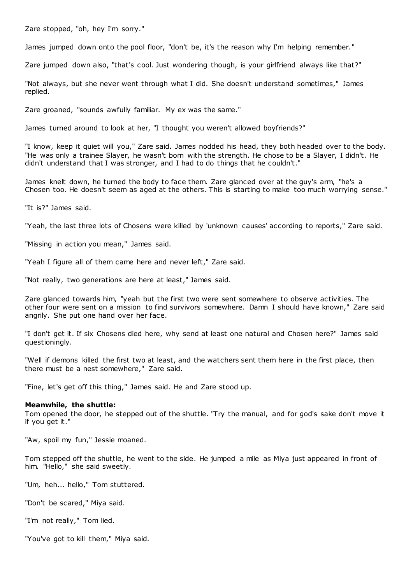Zare stopped, "oh, hey I'm sorry."

James jumped down onto the pool floor, "don't be, it's the reason why I'm helping remember."

Zare jumped down also, "that's cool. Just wondering though, is your girlfriend always like that?"

"Not always, but she never went through what I did. She doesn't understand sometimes," James replied.

Zare groaned, "sounds awfully familiar. My ex was the same."

James turned around to look at her, "I thought you weren't allowed boyfriends?"

"I know, keep it quiet will you," Zare said. James nodded his head, they both headed over to the body. "He was only a trainee Slayer, he wasn't born with the strength. He chose to be a Slayer, I didn't. He didn't understand that I was stronger, and I had to do things that he couldn't."

James knelt down, he turned the body to face them. Zare glanced over at the guy's arm, "he's a Chosen too. He doesn't seem as aged at the others. This is starting to make too much worrying sense."

"It is?" James said.

"Yeah, the last three lots of Chosens were killed by 'unknown causes' according to reports," Zare said.

"Missing in action you mean," James said.

"Yeah I figure all of them came here and never left," Zare said.

"Not really, two generations are here at least," James said.

Zare glanced towards him, "yeah but the first two were sent somewhere to observe activities. The other four were sent on a mission to find survivors somewhere. Damn I should have known," Zare said angrily. She put one hand over her face.

"I don't get it. If six Chosens died here, why send at least one natural and Chosen here?" James said questioningly.

"Well if demons killed the first two at least, and the watchers sent them here in the first place, then there must be a nest somewhere," Zare said.

"Fine, let's get off this thing," James said. He and Zare stood up.

### **Meanwhile, the shuttle:**

Tom opened the door, he stepped out of the shuttle. "Try the manual, and for god's sake don't move it if you get it."

"Aw, spoil my fun," Jessie moaned.

Tom stepped off the shuttle, he went to the side. He jumped a mile as Miya just appeared in front of him. "Hello," she said sweetly.

"Um, heh... hello," Tom stuttered.

"Don't be scared," Miya said.

"I'm not really," Tom lied.

"You've got to kill them," Miya said.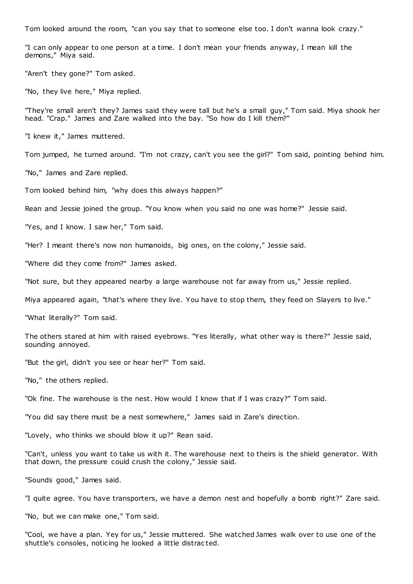Tom looked around the room, "can you say that to someone else too. I don't wanna look crazy."

"I can only appear to one person at a time. I don't mean your friends anyway, I mean kill the demons," Miya said.

"Aren't they gone?" Tom asked.

"No, they live here," Miya replied.

"They're small aren't they? James said they were tall but he's a small guy," Tom said. Miya shook her head. "Crap." James and Zare walked into the bay. "So how do I kill them?"

"I knew it," James muttered.

Tom jumped, he turned around. "I'm not crazy, can't you see the girl?" Tom said, pointing behind him.

"No," James and Zare replied.

Tom looked behind him, "why does this always happen?"

Rean and Jessie joined the group. "You know when you said no one was home?" Jessie said.

"Yes, and I know. I saw her," Tom said.

"Her? I meant there's now non humanoids, big ones, on the colony," Jessie said.

"Where did they come from?" James asked.

"Not sure, but they appeared nearby a large warehouse not far away from us," Jessie replied.

Miya appeared again, "that's where they live. You have to stop them, they feed on Slayers to live."

"What literally?" Tom said.

The others stared at him with raised eyebrows. "Yes literally, what other way is there?" Jessie said, sounding annoyed.

"But the girl, didn't you see or hear her?" Tom said.

"No," the others replied.

"Ok fine. The warehouse is the nest. How would I know that if I was crazy?" Tom said.

"You did say there must be a nest somewhere," James said in Zare's direction.

"Lovely, who thinks we should blow it up?" Rean said.

"Can't, unless you want to take us with it. The warehouse next to theirs is the shield generator. With that down, the pressure could crush the colony," Jessie said.

"Sounds good," James said.

"I quite agree. You have transporters, we have a demon nest and hopefully a bomb right?" Zare said.

"No, but we can make one," Tom said.

"Cool, we have a plan. Yey for us," Jessie muttered. She watched James walk over to use one of the shuttle's consoles, noticing he looked a little distrac ted.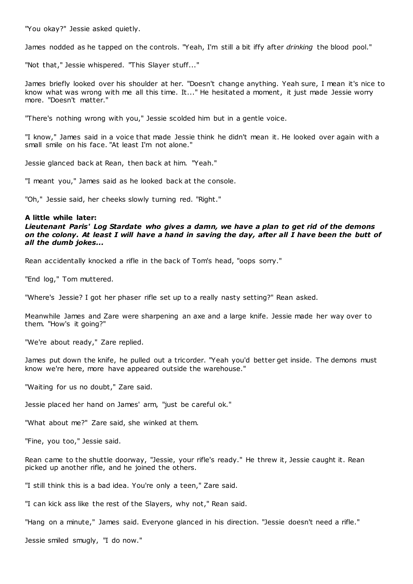"You okay?" Jessie asked quietly.

James nodded as he tapped on the controls. "Yeah, I'm still a bit iffy after *drinking* the blood pool."

"Not that," Jessie whispered. "This Slayer stuff..."

James briefly looked over his shoulder at her. "Doesn't change anything. Yeah sure, I mean it's nice to know what was wrong with me all this time. It..." He hesitated a moment, it just made Jessie worry more. "Doesn't matter."

"There's nothing wrong with you," Jessie scolded him but in a gentle voice.

"I know," James said in a voice that made Jessie think he didn't mean it. He looked over again with a small smile on his face. "At least I'm not alone."

Jessie glanced back at Rean, then back at him. "Yeah."

"I meant you," James said as he looked back at the console.

"Oh," Jessie said, her cheeks slowly turning red. "Right."

# **A little while later:**

*Lieutenant Paris' Log Stardate who gives a damn, we have a plan to get rid of the demons on the colony. At least I will have a hand in saving the day, after all I have been the butt of all the dumb jokes...*

Rean accidentally knocked a rifle in the back of Tom's head, "oops sorry."

"End log," Tom muttered.

"Where's Jessie? I got her phaser rifle set up to a really nasty setting?" Rean asked.

Meanwhile James and Zare were sharpening an axe and a large knife. Jessie made her way over to them. "How's it going?"

"We're about ready," Zare replied.

James put down the knife, he pulled out a tricorder. "Yeah you'd better get inside. The demons must know we're here, more have appeared outside the warehouse."

"Waiting for us no doubt," Zare said.

Jessie placed her hand on James' arm, "just be careful ok."

"What about me?" Zare said, she winked at them.

"Fine, you too," Jessie said.

Rean came to the shuttle doorway, "Jessie, your rifle's ready." He threw it, Jessie caught it. Rean picked up another rifle, and he joined the others.

"I still think this is a bad idea. You're only a teen," Zare said.

"I can kick ass like the rest of the Slayers, why not," Rean said.

"Hang on a minute," James said. Everyone glanced in his direction. "Jessie doesn't need a rifle."

Jessie smiled smugly, "I do now."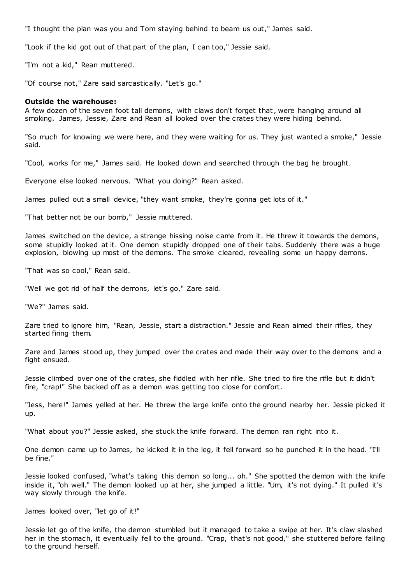"I thought the plan was you and Tom staying behind to beam us out," James said.

"Look if the kid got out of that part of the plan, I can too," Jessie said.

"I'm not a kid," Rean muttered.

"Of course not," Zare said sarcastically. "Let's go."

### **Outside the warehouse:**

A few dozen of the seven foot tall demons, with claws don't forget that, were hanging around all smoking. James, Jessie, Zare and Rean all looked over the crates they were hiding behind.

"So much for knowing we were here, and they were waiting for us. They just wanted a smoke," Jessie said.

"Cool, works for me," James said. He looked down and searched through the bag he brought.

Everyone else looked nervous. "What you doing?" Rean asked.

James pulled out a small device, "they want smoke, they're gonna get lots of it."

"That better not be our bomb," Jessie muttered.

James switched on the device, a strange hissing noise came from it. He threw it towards the demons, some stupidly looked at it. One demon stupidly dropped one of their tabs. Suddenly there was a huge explosion, blowing up most of the demons. The smoke cleared, revealing some un happy demons.

"That was so cool," Rean said.

"Well we got rid of half the demons, let's go," Zare said.

"We?" James said.

Zare tried to ignore him, "Rean, Jessie, start a distraction." Jessie and Rean aimed their rifles, they started firing them.

Zare and James stood up, they jumped over the crates and made their way over to the demons and a fight ensued.

Jessie climbed over one of the crates, she fiddled with her rifle. She tried to fire the rifle but it didn't fire, "crap!" She backed off as a demon was getting too close for comfort.

"Jess, here!" James yelled at her. He threw the large knife onto the ground nearby her. Jessie picked it up.

"What about you?" Jessie asked, she stuck the knife forward. The demon ran right into it.

One demon came up to James, he kicked it in the leg, it fell forward so he punched it in the head. "I'll be fine."

Jessie looked confused, "what's taking this demon so long... oh." She spotted the demon with the knife inside it, "oh well." The demon looked up at her, she jumped a little. "Um, it's not dying." It pulled it's way slowly through the knife.

James looked over, "let go of it!"

Jessie let go of the knife, the demon stumbled but it managed to take a swipe at her. It's claw slashed her in the stomach, it eventually fell to the ground. "Crap, that's not good," she stuttered before falling to the ground herself.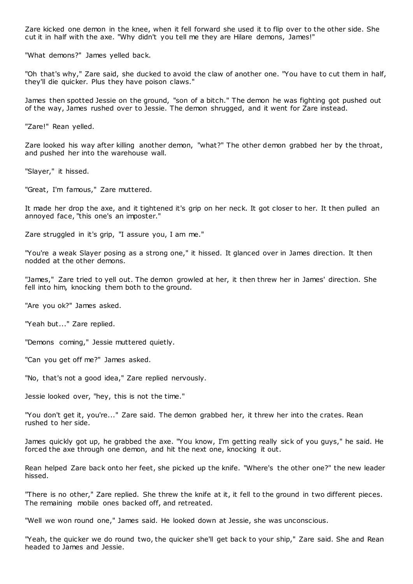Zare kicked one demon in the knee, when it fell forward she used it to flip over to the other side. She cut it in half with the axe. "Why didn't you tell me they are Hilare demons, James!"

"What demons?" James yelled back.

"Oh that's why," Zare said, she ducked to avoid the claw of another one. "You have to cut them in half, they'll die quicker. Plus they have poison claws."

James then spotted Jessie on the ground, "son of a bitch." The demon he was fighting got pushed out of the way, James rushed over to Jessie. The demon shrugged, and it went for Zare instead.

"Zare!" Rean yelled.

Zare looked his way after killing another demon, "what?" The other demon grabbed her by the throat, and pushed her into the warehouse wall.

"Slayer," it hissed.

"Great, I'm famous," Zare muttered.

It made her drop the axe, and it tightened it's grip on her neck. It got closer to her. It then pulled an annoyed face, "this one's an imposter."

Zare struggled in it's grip, "I assure you, I am me."

"You're a weak Slayer posing as a strong one," it hissed. It glanced over in James direction. It then nodded at the other demons.

"James," Zare tried to yell out. The demon growled at her, it then threw her in James' direction. She fell into him, knocking them both to the ground.

"Are you ok?" James asked.

"Yeah but..." Zare replied.

"Demons coming," Jessie muttered quietly.

"Can you get off me?" James asked.

"No, that's not a good idea," Zare replied nervously.

Jessie looked over, "hey, this is not the time."

"You don't get it, you're..." Zare said. The demon grabbed her, it threw her into the crates. Rean rushed to her side.

James quickly got up, he grabbed the axe. "You know, I'm getting really sick of you guys," he said. He forced the axe through one demon, and hit the next one, knocking it out.

Rean helped Zare back onto her feet, she picked up the knife. "Where's the other one?" the new leader hissed.

"There is no other," Zare replied. She threw the knife at it, it fell to the ground in two different pieces. The remaining mobile ones backed off, and retreated.

"Well we won round one," James said. He looked down at Jessie, she was unconscious.

"Yeah, the quicker we do round two, the quicker she'll get back to your ship," Zare said. She and Rean headed to James and Jessie.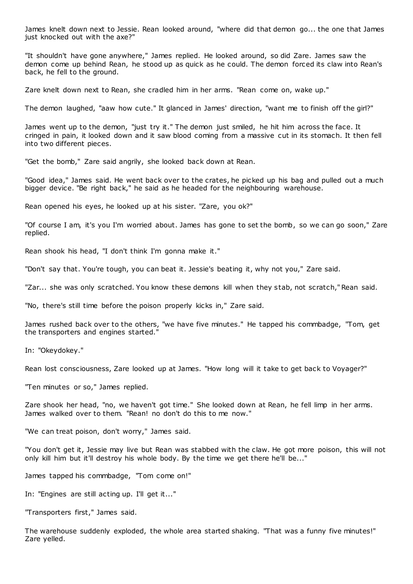James knelt down next to Jessie. Rean looked around, "where did that demon go... the one that James just knocked out with the axe?"

"It shouldn't have gone anywhere," James replied. He looked around, so did Zare. James saw the demon come up behind Rean, he stood up as quick as he could. The demon forced its claw into Rean's back, he fell to the ground.

Zare knelt down next to Rean, she cradled him in her arms. "Rean come on, wake up."

The demon laughed, "aaw how cute." It glanced in James' direction, "want me to finish off the girl?"

James went up to the demon, "just try it." The demon just smiled, he hit him across the face. It cringed in pain, it looked down and it saw blood coming from a massive cut in its stomach. It then fell into two different pieces.

"Get the bomb," Zare said angrily, she looked back down at Rean.

"Good idea," James said. He went back over to the crates, he picked up his bag and pulled out a much bigger device. "Be right back," he said as he headed for the neighbouring warehouse.

Rean opened his eyes, he looked up at his sister. "Zare, you ok?"

"Of course I am, it's you I'm worried about. James has gone to set the bomb, so we can go soon," Zare replied.

Rean shook his head, "I don't think I'm gonna make it."

"Don't say that. You're tough, you can beat it. Jessie's beating it, why not you," Zare said.

"Zar... she was only scratched. You know these demons kill when they stab, not scratch," Rean said.

"No, there's still time before the poison properly kicks in," Zare said.

James rushed back over to the others, "we have five minutes." He tapped his commbadge, "Tom, get the transporters and engines started."

In: "Okeydokey."

Rean lost consciousness, Zare looked up at James. "How long will it take to get back to Voyager?"

"Ten minutes or so," James replied.

Zare shook her head, "no, we haven't got time." She looked down at Rean, he fell limp in her arms. James walked over to them. "Rean! no don't do this to me now."

"We can treat poison, don't worry," James said.

"You don't get it, Jessie may live but Rean was stabbed with the claw. He got more poison, this will not only kill him but it'll destroy his whole body. By the time we get there he'll be..."

James tapped his commbadge, "Tom come on!"

In: "Engines are still acting up. I'll get it..."

"Transporters first," James said.

The warehouse suddenly exploded, the whole area started shaking. "That was a funny five minutes!" Zare yelled.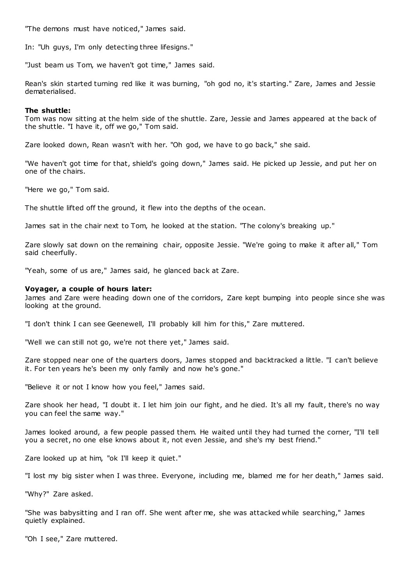"The demons must have noticed," James said.

In: "Uh guys, I'm only detecting three lifesigns."

"Just beam us Tom, we haven't got time," James said.

Rean's skin started turning red like it was burning, "oh god no, it's starting." Zare, James and Jessie dematerialised.

## **The shuttle:**

Tom was now sitting at the helm side of the shuttle. Zare, Jessie and James appeared at the back of the shuttle. "I have it, off we go," Tom said.

Zare looked down, Rean wasn't with her. "Oh god, we have to go back," she said.

"We haven't got time for that, shield's going down," James said. He picked up Jessie, and put her on one of the chairs.

"Here we go," Tom said.

The shuttle lifted off the ground, it flew into the depths of the ocean.

James sat in the chair next to Tom, he looked at the station. "The colony's breaking up."

Zare slowly sat down on the remaining chair, opposite Jessie. "We're going to make it after all," Tom said cheerfully.

"Yeah, some of us are," James said, he glanced back at Zare.

## **Voyager, a couple of hours later:**

James and Zare were heading down one of the corridors, Zare kept bumping into people since she was looking at the ground.

"I don't think I can see Geenewell, I'll probably kill him for this," Zare muttered.

"Well we can still not go, we're not there yet," James said.

Zare stopped near one of the quarters doors, James stopped and backtracked a little. "I can't believe it. For ten years he's been my only family and now he's gone."

"Believe it or not I know how you feel," James said.

Zare shook her head, "I doubt it. I let him join our fight, and he died. It's all my fault, there's no way you can feel the same way."

James looked around, a few people passed them. He waited until they had turned the corner, "I'll tell you a secret, no one else knows about it, not even Jessie, and she's my best friend."

Zare looked up at him, "ok I'll keep it quiet."

"I lost my big sister when I was three. Everyone, including me, blamed me for her death," James said.

"Why?" Zare asked.

"She was babysitting and I ran off. She went after me, she was attacked while searching," James quietly explained.

"Oh I see," Zare muttered.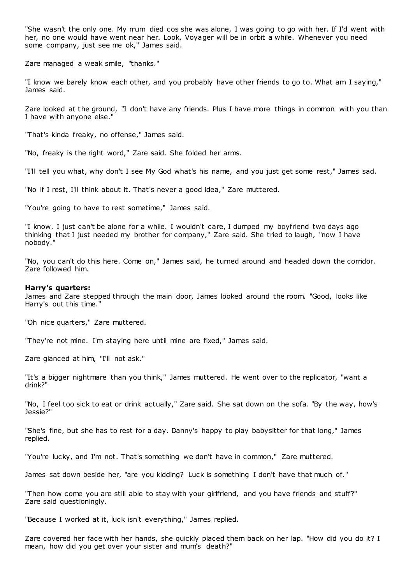"She wasn't the only one. My mum died cos she was alone, I was going to go with her. If I'd went with her, no one would have went near her. Look, Voyager will be in orbit a while. Whenever you need some company, just see me ok," James said.

Zare managed a weak smile, "thanks."

"I know we barely know each other, and you probably have other friends to go to. What am I saying," James said.

Zare looked at the ground, "I don't have any friends. Plus I have more things in common with you than I have with anyone else."

"That's kinda freaky, no offense," James said.

"No, freaky is the right word," Zare said. She folded her arms.

"I'll tell you what, why don't I see My God what's his name, and you just get some rest," James sad.

"No if I rest, I'll think about it. That's never a good idea," Zare muttered.

"You're going to have to rest sometime," James said.

"I know. I just can't be alone for a while. I wouldn't care, I dumped my boyfriend two days ago thinking that I just needed my brother for company," Zare said. She tried to laugh, "now I have nobody."

"No, you can't do this here. Come on," James said, he turned around and headed down the corridor. Zare followed him.

## **Harry's quarters:**

James and Zare stepped through the main door, James looked around the room. "Good, looks like Harry's out this time."

"Oh nice quarters," Zare muttered.

"They're not mine. I'm staying here until mine are fixed," James said.

Zare glanced at him, "I'll not ask."

"It's a bigger nightmare than you think," James muttered. He went over to the replicator, "want a drink?"

"No, I feel too sick to eat or drink actually," Zare said. She sat down on the sofa. "By the way, how's Jessie?"

"She's fine, but she has to rest for a day. Danny's happy to play babysitter for that long," James replied.

"You're lucky, and I'm not. That's something we don't have in common," Zare muttered.

James sat down beside her, "are you kidding? Luck is something I don't have that much of."

"Then how come you are still able to stay with your girlfriend, and you have friends and stuff?" Zare said questioningly.

"Because I worked at it, luck isn't everything," James replied.

Zare covered her face with her hands, she quickly placed them back on her lap. "How did you do it? I mean, how did you get over your sister and mum's death?"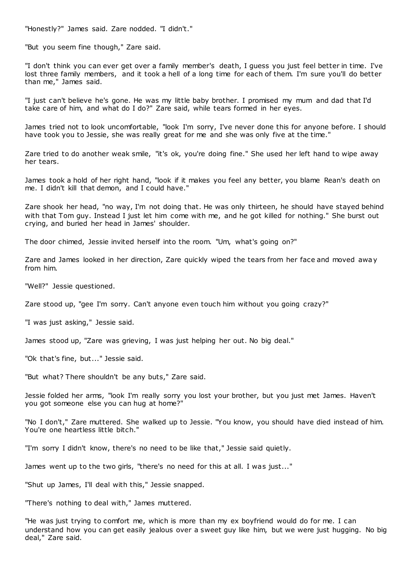"Honestly?" James said. Zare nodded. "I didn't."

"But you seem fine though," Zare said.

"I don't think you can ever get over a family member's death, I guess you just feel better in time. I've lost three family members, and it took a hell of a long time for each of them. I'm sure you'll do better than me," James said.

"I just can't believe he's gone. He was my little baby brother. I promised my mum and dad that I'd take care of him, and what do I do?" Zare said, while tears formed in her eyes.

James tried not to look uncomfortable, "look I'm sorry, I've never done this for anyone before. I should have took you to Jessie, she was really great for me and she was only five at the time."

Zare tried to do another weak smile, "it's ok, you're doing fine." She used her left hand to wipe away her tears.

James took a hold of her right hand, "look if it makes you feel any better, you blame Rean's death on me. I didn't kill that demon, and I could have."

Zare shook her head, "no way, I'm not doing that. He was only thirteen, he should have stayed behind with that Tom guy. Instead I just let him come with me, and he got killed for nothing." She burst out crying, and buried her head in James' shoulder.

The door chimed, Jessie invited herself into the room. "Um, what's going on?"

Zare and James looked in her direction, Zare quickly wiped the tears from her face and moved away from him.

"Well?" Jessie questioned.

Zare stood up, "gee I'm sorry. Can't anyone even touch him without you going crazy?"

"I was just asking," Jessie said.

James stood up, "Zare was grieving, I was just helping her out. No big deal."

"Ok that's fine, but..." Jessie said.

"But what? There shouldn't be any buts," Zare said.

Jessie folded her arms, "look I'm really sorry you lost your brother, but you just met James. Haven't you got someone else you can hug at home?"

"No I don't," Zare muttered. She walked up to Jessie. "You know, you should have died instead of him. You're one heartless little bitch."

"I'm sorry I didn't know, there's no need to be like that," Jessie said quietly.

James went up to the two girls, "there's no need for this at all. I was just..."

"Shut up James, I'll deal with this," Jessie snapped.

"There's nothing to deal with," James muttered.

"He was just trying to comfort me, which is more than my ex boyfriend would do for me. I can understand how you can get easily jealous over a sweet guy like him, but we were just hugging. No big deal," Zare said.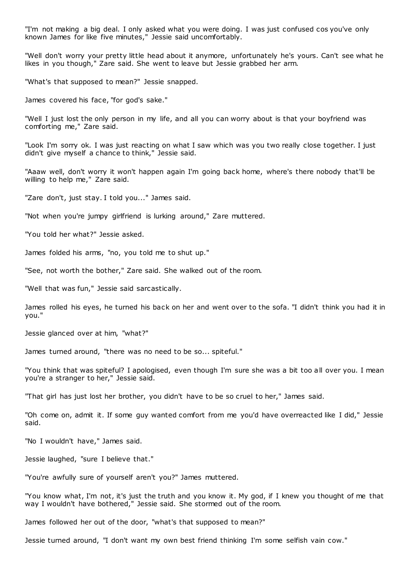"I'm not making a big deal. I only asked what you were doing. I was just confused cos you've only known James for like five minutes," Jessie said uncomfortably.

"Well don't worry your pretty little head about it anymore, unfortunately he's yours. Can't see what he likes in you though," Zare said. She went to leave but Jessie grabbed her arm.

"What's that supposed to mean?" Jessie snapped.

James covered his face, "for god's sake."

"Well I just lost the only person in my life, and all you can worry about is that your boyfriend was comforting me," Zare said.

"Look I'm sorry ok. I was just reacting on what I saw which was you two really close together. I just didn't give myself a chance to think," Jessie said.

"Aaaw well, don't worry it won't happen again I'm going back home, where's there nobody that'll be willing to help me," Zare said.

"Zare don't, just stay. I told you..." James said.

"Not when you're jumpy girlfriend is lurking around," Zare muttered.

"You told her what?" Jessie asked.

James folded his arms, "no, you told me to shut up."

"See, not worth the bother," Zare said. She walked out of the room.

"Well that was fun," Jessie said sarcastically.

James rolled his eyes, he turned his back on her and went over to the sofa. "I didn't think you had it in you."

Jessie glanced over at him, "what?"

James turned around, "there was no need to be so... spiteful."

"You think that was spiteful? I apologised, even though I'm sure she was a bit too all over you. I mean you're a stranger to her," Jessie said.

"That girl has just lost her brother, you didn't have to be so cruel to her," James said.

"Oh come on, admit it. If some guy wanted comfort from me you'd have overreacted like I did," Jessie said.

"No I wouldn't have," James said.

Jessie laughed, "sure I believe that."

"You're awfully sure of yourself aren't you?" James muttered.

"You know what, I'm not, it's just the truth and you know it. My god, if I knew you thought of me that way I wouldn't have bothered," Jessie said. She stormed out of the room.

James followed her out of the door, "what's that supposed to mean?"

Jessie turned around, "I don't want my own best friend thinking I'm some selfish vain cow."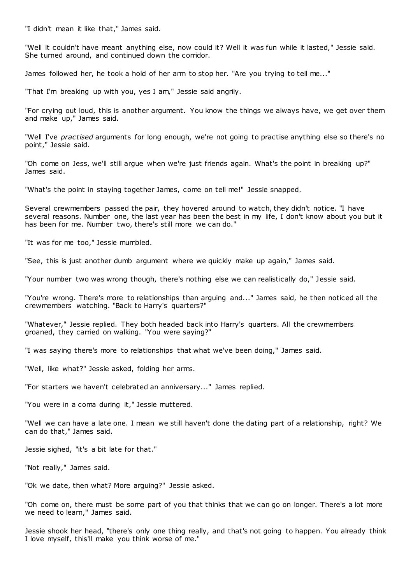"I didn't mean it like that," James said.

"Well it couldn't have meant anything else, now could it? Well it was fun while it lasted," Jessie said. She turned around, and continued down the corridor.

James followed her, he took a hold of her arm to stop her. "Are you trying to tell me..."

"That I'm breaking up with you, yes I am," Jessie said angrily.

"For crying out loud, this is another argument. You know the things we always have, we get over them and make up," James said.

"Well I've *practised* arguments for long enough, we're not going to practise anything else so there's no point," Jessie said.

"Oh come on Jess, we'll still argue when we're just friends again. What's the point in breaking up?" James said.

"What's the point in staying together James, come on tell me!" Jessie snapped.

Several crewmembers passed the pair, they hovered around to watch, they didn't notice. "I have several reasons. Number one, the last year has been the best in my life, I don't know about you but it has been for me. Number two, there's still more we can do."

"It was for me too," Jessie mumbled.

"See, this is just another dumb argument where we quickly make up again," James said.

"Your number two was wrong though, there's nothing else we can realistically do," Jessie said.

"You're wrong. There's more to relationships than arguing and..." James said, he then noticed all the crewmembers watching. "Back to Harry's quarters?"

"Whatever," Jessie replied. They both headed back into Harry's quarters. All the crewmembers groaned, they carried on walking. "You were saying?"

"I was saying there's more to relationships that what we've been doing," James said.

"Well, like what?" Jessie asked, folding her arms.

"For starters we haven't celebrated an anniversary..." James replied.

"You were in a coma during it," Jessie muttered.

"Well we can have a late one. I mean we still haven't done the dating part of a relationship, right? We can do that," James said.

Jessie sighed, "it's a bit late for that."

"Not really," James said.

"Ok we date, then what? More arguing?" Jessie asked.

"Oh come on, there must be some part of you that thinks that we can go on longer. There's a lot more we need to learn," James said.

Jessie shook her head, "there's only one thing really, and that's not going to happen. You already think I love myself, this'll make you think worse of me."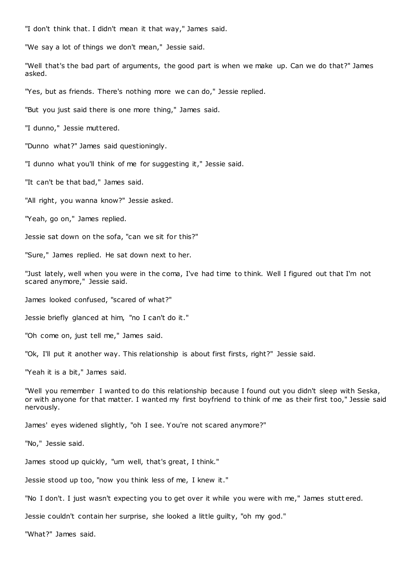"I don't think that. I didn't mean it that way," James said.

"We say a lot of things we don't mean," Jessie said.

"Well that's the bad part of arguments, the good part is when we make up. Can we do that?" James asked.

"Yes, but as friends. There's nothing more we can do," Jessie replied.

"But you just said there is one more thing," James said.

"I dunno," Jessie muttered.

"Dunno what?" James said questioningly.

"I dunno what you'll think of me for suggesting it," Jessie said.

"It can't be that bad," James said.

"All right, you wanna know?" Jessie asked.

"Yeah, go on," James replied.

Jessie sat down on the sofa, "can we sit for this?"

"Sure," James replied. He sat down next to her.

"Just lately, well when you were in the coma, I've had time to think. Well I figured out that I'm not scared anymore," Jessie said.

James looked confused, "scared of what?"

Jessie briefly glanced at him, "no I can't do it."

"Oh come on, just tell me," James said.

"Ok, I'll put it another way. This relationship is about first firsts, right?" Jessie said.

"Yeah it is a bit," James said.

"Well you remember I wanted to do this relationship because I found out you didn't sleep with Seska, or with anyone for that matter. I wanted my first boyfriend to think of me as their first too," Jessie said nervously.

James' eyes widened slightly, "oh I see. You're not scared anymore?"

"No," Jessie said.

James stood up quickly, "um well, that's great, I think."

Jessie stood up too, "now you think less of me, I knew it."

"No I don't. I just wasn't expecting you to get over it while you were with me," James stutt ered.

Jessie couldn't contain her surprise, she looked a little guilty, "oh my god."

"What?" James said.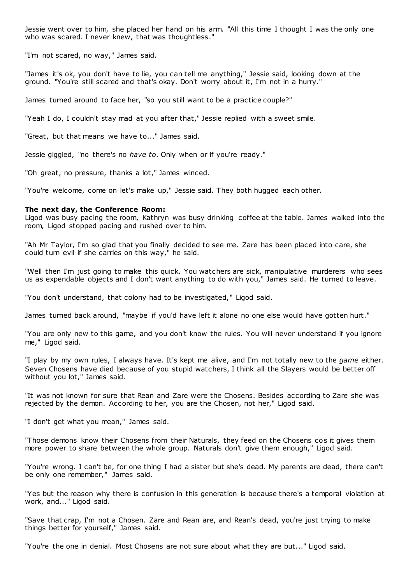Jessie went over to him, she placed her hand on his arm. "All this time I thought I was the only one who was scared. I never knew, that was thoughtless."

"I'm not scared, no way," James said.

"James it's ok, you don't have to lie, you can tell me anything," Jessie said, looking down at the ground. "You're still scared and that's okay. Don't worry about it, I'm not in a hurry."

James turned around to face her, "so you still want to be a practice couple?"

"Yeah I do, I couldn't stay mad at you after that," Jessie replied with a sweet smile.

"Great, but that means we have to..." James said.

Jessie giggled, "no there's no *have to*. Only when or if you're ready."

"Oh great, no pressure, thanks a lot," James winced.

"You're welcome, come on let's make up," Jessie said. They both hugged each other.

# **The next day, the Conference Room:**

Ligod was busy pacing the room, Kathryn was busy drinking coffee at the table. James walked into the room, Ligod stopped pacing and rushed over to him.

"Ah Mr Taylor, I'm so glad that you finally decided to see me. Zare has been placed into care, she could turn evil if she carries on this way," he said.

"Well then I'm just going to make this quick. You watchers are sick, manipulative murderers who sees us as expendable objects and I don't want anything to do with you," James said. He turned to leave.

"You don't understand, that colony had to be investigated," Ligod said.

James turned back around, "maybe if you'd have left it alone no one else would have gotten hurt."

"You are only new to this game, and you don't know the rules. You will never understand if you ignore me," Ligod said.

"I play by my own rules, I always have. It's kept me alive, and I'm not totally new to the *game* either. Seven Chosens have died because of you stupid watchers, I think all the Slayers would be better off without you lot," James said.

"It was not known for sure that Rean and Zare were the Chosens. Besides according to Zare she was rejected by the demon. According to her, you are the Chosen, not her," Ligod said.

"I don't get what you mean," James said.

"Those demons know their Chosens from their Naturals, they feed on the Chosens cos it gives them more power to share between the whole group. Naturals don't give them enough," Ligod said.

"You're wrong. I can't be, for one thing I had a sister but she's dead. My parents are dead, there can't be only one remember," James said.

"Yes but the reason why there is confusion in this generation is because there's a temporal violation at work, and..." Ligod said.

"Save that crap, I'm not a Chosen. Zare and Rean are, and Rean's dead, you're just trying to make things better for yourself," James said.

"You're the one in denial. Most Chosens are not sure about what they are but..." Ligod said.